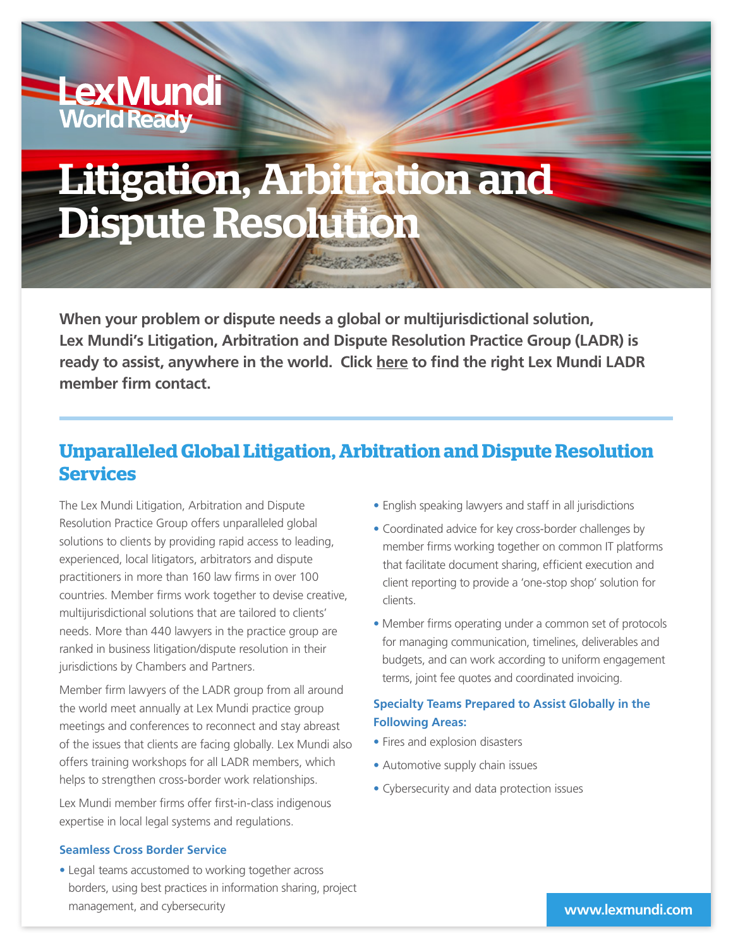# Litigation, Arbitration and Dispute Resolution

**When your problem or dispute needs a global or multijurisdictional solution, Lex Mundi's Litigation, Arbitration and Dispute Resolution Practice Group (LADR) is ready to assist, anywhere in the world. Click [here](mailto:bd%40lexmundi.com?subject=) to find the right Lex Mundi LADR member firm contact.**

### **Unparalleled Global Litigation, Arbitration and Dispute Resolution Services**

The Lex Mundi Litigation, Arbitration and Dispute Resolution Practice Group offers unparalleled global solutions to clients by providing rapid access to leading, experienced, local litigators, arbitrators and dispute practitioners in more than 160 law firms in over 100 countries. Member firms work together to devise creative, multijurisdictional solutions that are tailored to clients' needs. More than 440 lawyers in the practice group are ranked in business litigation/dispute resolution in their jurisdictions by Chambers and Partners.

Member firm lawyers of the LADR group from all around the world meet annually at Lex Mundi practice group meetings and conferences to reconnect and stay abreast of the issues that clients are facing globally. Lex Mundi also offers training workshops for all LADR members, which helps to strengthen cross-border work relationships.

Lex Mundi member firms offer first-in-class indigenous expertise in local legal systems and regulations.

#### **Seamless Cross Border Service**

**LexMundi**<br>World Ready

• Legal teams accustomed to working together across borders, using best practices in information sharing, project management, and cybersecurity

- English speaking lawyers and staff in all jurisdictions
- Coordinated advice for key cross-border challenges by member firms working together on common IT platforms that facilitate document sharing, efficient execution and client reporting to provide a 'one-stop shop' solution for clients.
- Member firms operating under a common set of protocols for managing communication, timelines, deliverables and budgets, and can work according to uniform engagement terms, joint fee quotes and coordinated invoicing.

#### **Specialty Teams Prepared to Assist Globally in the Following Areas:**

- Fires and explosion disasters
- Automotive supply chain issues
- Cybersecurity and data protection issues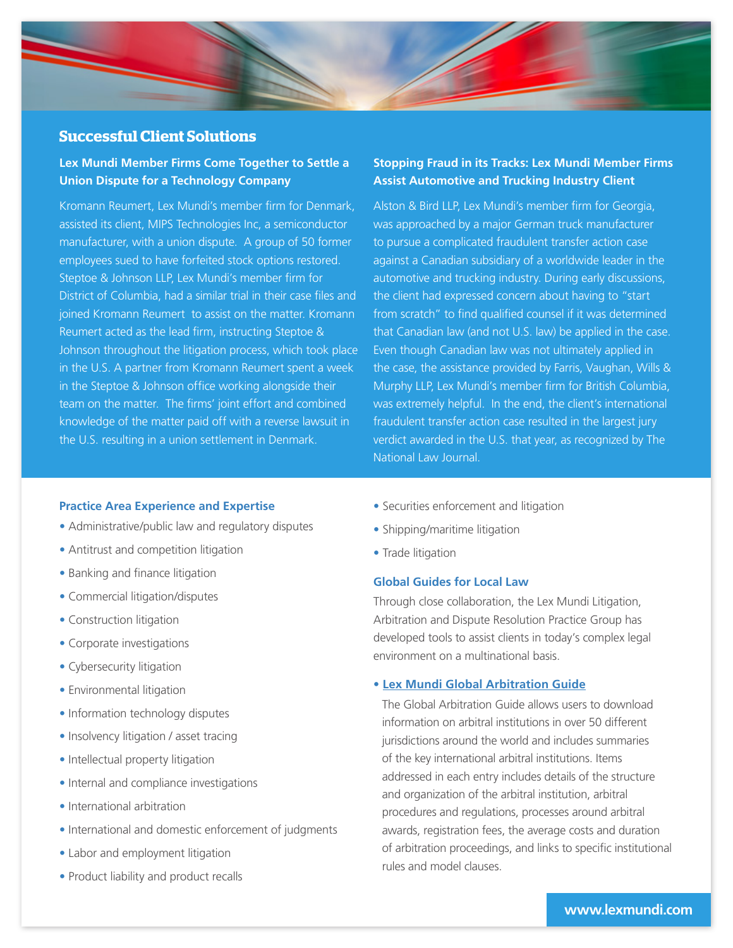

#### **Successful Client Solutions**

#### **Lex Mundi Member Firms Come Together to Settle a Union Dispute for a Technology Company**

Kromann Reumert, Lex Mundi's member firm for Denmark, assisted its client, MIPS Technologies Inc, a semiconductor manufacturer, with a union dispute. A group of 50 former employees sued to have forfeited stock options restored. Steptoe & Johnson LLP, Lex Mundi's member firm for District of Columbia, had a similar trial in their case files and joined Kromann Reumert to assist on the matter. Kromann Reumert acted as the lead firm, instructing Steptoe & Johnson throughout the litigation process, which took place in the U.S. A partner from Kromann Reumert spent a week in the Steptoe & Johnson office working alongside their team on the matter. The firms' joint effort and combined knowledge of the matter paid off with a reverse lawsuit in the U.S. resulting in a union settlement in Denmark.

#### **Stopping Fraud in its Tracks: Lex Mundi Member Firms Assist Automotive and Trucking Industry Client**

Alston & Bird LLP, Lex Mundi's member firm for Georgia, was approached by a major German truck manufacturer to pursue a complicated fraudulent transfer action case against a Canadian subsidiary of a worldwide leader in the automotive and trucking industry. During early discussions, the client had expressed concern about having to "start from scratch" to find qualified counsel if it was determined that Canadian law (and not U.S. law) be applied in the case. Even though Canadian law was not ultimately applied in the case, the assistance provided by Farris, Vaughan, Wills & Murphy LLP, Lex Mundi's member firm for British Columbia, was extremely helpful. In the end, the client's international fraudulent transfer action case resulted in the largest jury verdict awarded in the U.S. that year, as recognized by The National Law Journal.

#### **Practice Area Experience and Expertise**

- Administrative/public law and regulatory disputes
- Antitrust and competition litigation
- Banking and finance litigation
- Commercial litigation/disputes
- Construction litigation
- Corporate investigations
- Cybersecurity litigation
- Environmental litigation
- Information technology disputes
- Insolvency litigation / asset tracing
- Intellectual property litigation
- Internal and compliance investigations
- International arbitration
- International and domestic enforcement of judgments
- Labor and employment litigation
- Product liability and product recalls
- Securities enforcement and litigation
- Shipping/maritime litigation
- Trade litigation

#### **Global Guides for Local Law**

Through close collaboration, the Lex Mundi Litigation, Arbitration and Dispute Resolution Practice Group has developed tools to assist clients in today's complex legal environment on a multinational basis.

#### **• [Lex Mundi Global Arbitration Guide](https://www.lexmundi.com/lexmundi/Global_Arbitration_Guide.asp)**

The Global Arbitration Guide allows users to download information on arbitral institutions in over 50 different jurisdictions around the world and includes summaries of the key international arbitral institutions. Items addressed in each entry includes details of the structure and organization of the arbitral institution, arbitral procedures and regulations, processes around arbitral awards, registration fees, the average costs and duration of arbitration proceedings, and links to specific institutional rules and model clauses.